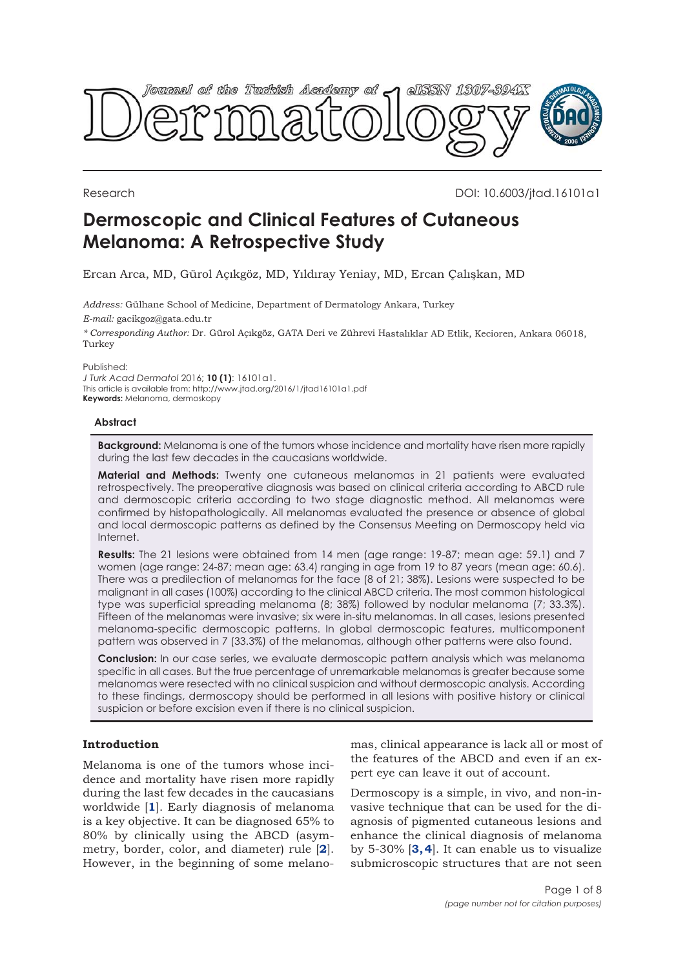

Research DOI: 10.6003/jtad.16101a1

# **Dermoscopic and Clinical Features of Cutaneous Melanoma: A Retrospective Study**

Ercan Arca, MD, Gürol Açıkgöz, MD, Yıldıray Yeniay, MD, Ercan Çalışkan, MD

*Address:* Gülhane School of Medicine, Department of Dermatology Ankara, Turkey *E-mail:* gacikgoz@gata.edu.tr

*\* Corresponding Author:* Dr. Gürol Açıkgöz, GATA Deri ve Zührevi Hastalıklar AD Etlik, Kecioren, Ankara 06018, Turkey

Published:

*J Turk Acad Dermatol* 2016; **10 (1)**: 16101a1. This article is available from: http://www.jtad.org/2016/1/jtad16101a1.pdf **Keywords:** Melanoma, dermoskopy

#### **Abstract**

**Background:** Melanoma is one of the tumors whose incidence and mortality have risen more rapidly during the last few decades in the caucasians worldwide.

**Material and Methods:** Twenty one cutaneous melanomas in 21 patients were evaluated retrospectively. The preoperative diagnosis was based on clinical criteria according to ABCD rule and dermoscopic criteria according to two stage diagnostic method. All melanomas were confirmed by histopathologically. All melanomas evaluated the presence or absence of global and local dermoscopic patterns as defined by the Consensus Meeting on Dermoscopy held via Internet.

**Results:** The 21 lesions were obtained from 14 men (age range: 19-87; mean age: 59.1) and 7 women (age range: 24-87; mean age: 63.4) ranging in age from 19 to 87 years (mean age: 60.6). There was a predilection of melanomas for the face (8 of 21; 38%). Lesions were suspected to be malignant in all cases (100%) according to the clinical ABCD criteria. The most common histological type was superficial spreading melanoma (8; 38%) followed by nodular melanoma (7; 33.3%). Fifteen of the melanomas were invasive; six were in-situ melanomas. In all cases, lesions presented melanoma-specific dermoscopic patterns. In global dermoscopic features, multicomponent pattern was observed in 7 (33.3%) of the melanomas, although other patterns were also found.

**Conclusion:** In our case series, we evaluate dermoscopic pattern analysis which was melanoma specific in all cases. But the true percentage of unremarkable melanomas is greater because some melanomas were resected with no clinical suspicion and without dermoscopic analysis. According to these findings, dermoscopy should be performed in all lesions with positive history or clinical suspicion or before excision even if there is no clinical suspicion.

# **Introduction**

Melanoma is one of the tumors whose incidence and mortality have risen more rapidly during the last few decades in the caucasians worldwide [**[1](#page-6-0)**]. Early diagnosis of melanoma is a key objective. It can be diagnosed 65% to 80% by clinically using the ABCD (asymmetry, border, color, and diameter) rule [**[2](#page-6-0)**]. However, in the beginning of some melanomas, clinical appearance is lack all or most of the features of the ABCD and even if an expert eye can leave it out of account.

Dermoscopy is a simple, in vivo, and non-invasive technique that can be used for the diagnosis of pigmented cutaneous lesions and enhance the clinical diagnosis of melanoma by 5-30% [**[3, 4](#page-6-0)**]. It can enable us to visualize submicroscopic structures that are not seen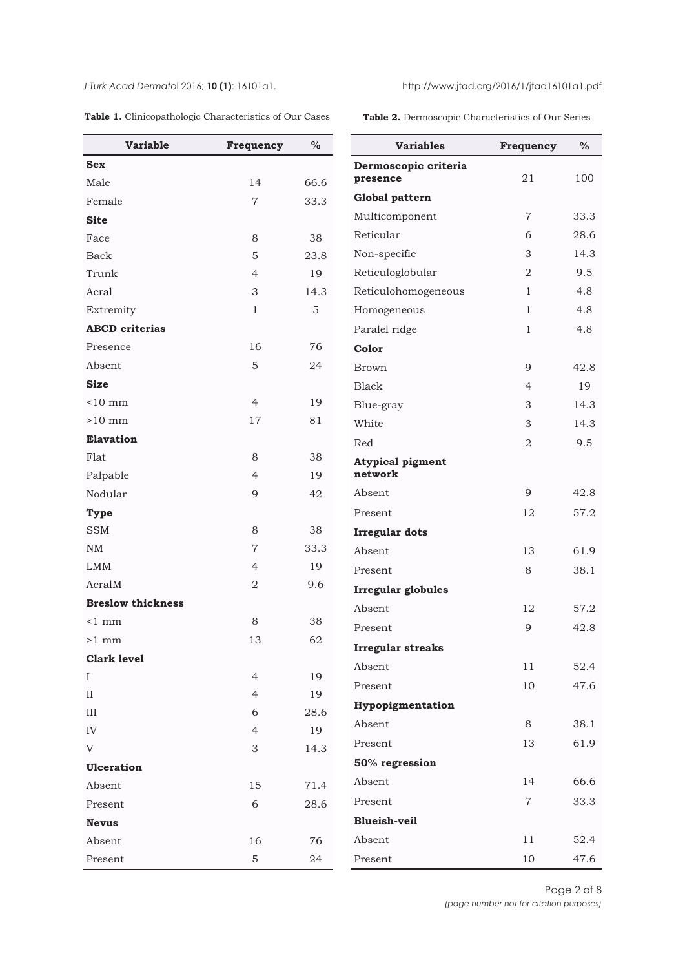<span id="page-1-0"></span>*J Turk Acad Dermato*l 2016; **10 (1)**: 16101a1. http://www.jtad.org/2016/1/jtad16101a1.pdf

|  |  |  |  | Table 1. Clinicopathologic Characteristics of Our Cases |  |  |  |
|--|--|--|--|---------------------------------------------------------|--|--|--|
|--|--|--|--|---------------------------------------------------------|--|--|--|

**Table 2.** Dermoscopic Characteristics of Our Series

| <b>Variable</b>          | Frequency      | $\%$        | <b>Variables</b>          | Frequency      | $\%$ |
|--------------------------|----------------|-------------|---------------------------|----------------|------|
| <b>Sex</b>               |                |             | Dermoscopic criteria      |                |      |
| Male                     | 14             | 66.6        | presence                  | 21             | 100  |
| Female                   | $\overline{7}$ | 33.3        | Global pattern            |                |      |
| <b>Site</b>              |                |             | Multicomponent            | 7              | 33.3 |
| Face                     | 8              | 38          | Reticular                 | 6              | 28.6 |
| Back                     | 5              | 23.8        | Non-specific              | 3              | 14.3 |
| Trunk                    | 4              | 19          | Reticuloglobular          | 2              | 9.5  |
| Acral                    | 3              | 14.3        | Reticulohomogeneous       | $\mathbf{1}$   | 4.8  |
| Extremity                | $\mathbf{1}$   | $\mathbf 5$ | Homogeneous               | $\mathbf{1}$   | 4.8  |
| <b>ABCD</b> criterias    |                |             | Paralel ridge             | $\mathbf{1}$   | 4.8  |
| Presence                 | 16             | 76          | Color                     |                |      |
| Absent                   | 5              | 24          | <b>Brown</b>              | 9              | 42.8 |
| <b>Size</b>              |                |             | <b>Black</b>              | 4              | 19   |
| $< 10$ mm                | $\overline{4}$ | 19          | Blue-gray                 | 3              | 14.3 |
| $>10$ mm                 | 17             | 81          | White                     | 3              | 14.3 |
| Elavation                |                |             | Red                       | 2              | 9.5  |
| Flat                     | 8              | 38          | <b>Atypical pigment</b>   |                |      |
| Palpable                 | $\overline{4}$ | 19          | network                   |                |      |
| Nodular                  | 9              | 42          | Absent                    | 9              | 42.8 |
| <b>Type</b>              |                |             | Present                   | 12             | 57.2 |
| <b>SSM</b>               | 8              | 38          | <b>Irregular dots</b>     |                |      |
| NM                       | $\overline{7}$ | 33.3        | Absent                    | 13             | 61.9 |
| <b>LMM</b>               | $\overline{4}$ | 19          | Present                   | 8              | 38.1 |
| AcralM                   | $\overline{2}$ | 9.6         | <b>Irregular globules</b> |                |      |
| <b>Breslow thickness</b> |                |             | Absent                    | 12             | 57.2 |
| $\leq 1$ mm              | 8              | 38          | Present                   | 9              | 42.8 |
| $>1$ mm                  | 13             | 62          | <b>Irregular streaks</b>  |                |      |
| <b>Clark level</b>       |                |             | Absent                    | 11             | 52.4 |
| $\mathbf I$              | $\overline{4}$ | 19          | Present                   | 10             | 47.6 |
| $\rm II$                 | $\overline{4}$ | 19          | Hypopigmentation          |                |      |
| $\rm III$                | 6              | 28.6        |                           |                |      |
| ${\rm IV}$               | $\overline{4}$ | 19          | Absent                    | 8              | 38.1 |
| V                        | 3              | 14.3        | Present                   | 13             | 61.9 |
| Ulceration               |                |             | 50% regression            |                |      |
| Absent                   | 15             | 71.4        | Absent                    | 14             | 66.6 |
| Present                  | 6              | 28.6        | Present                   | $\overline{7}$ | 33.3 |
| <b>Nevus</b>             |                |             | <b>Blueish-veil</b>       |                |      |
| Absent                   | 16             | 76          | Absent                    | 11             | 52.4 |
| Present                  | 5              | 24          | Present                   | 10             | 47.6 |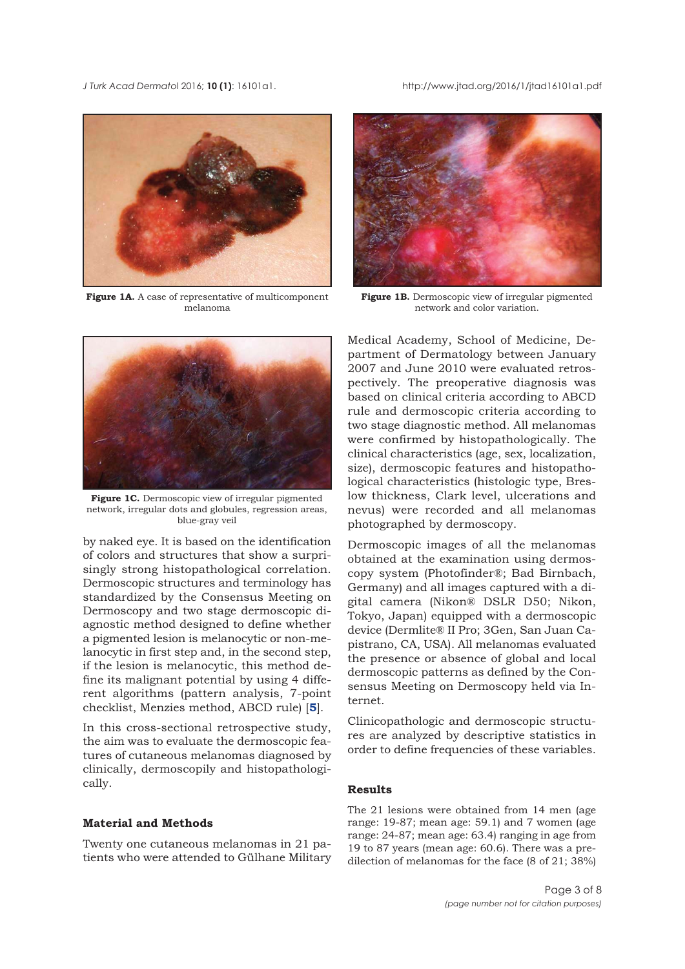<span id="page-2-0"></span>*J Turk Acad Dermato*l 2016; **10 (1)**: 16101a1. http://www.jtad.org/2016/1/jtad16101a1.pdf



Figure 1A. A case of representative of multicomponent melanoma



**Figure 1B.** Dermoscopic view of irregular pigmented network and color variation.



**Figure 1C.** Dermoscopic view of irregular pigmented network, irregular dots and globules, regression areas, blue-gray veil

by naked eye. It is based on the identification of colors and structures that show a surprisingly strong histopathological correlation. Dermoscopic structures and terminology has standardized by the Consensus Meeting on Dermoscopy and two stage dermoscopic diagnostic method designed to define whether a pigmented lesion is melanocytic or non-melanocytic in first step and, in the second step, if the lesion is melanocytic, this method define its malignant potential by using 4 different algorithms (pattern analysis, 7-point checklist, Menzies method, ABCD rule) [**[5](#page-7-0)**].

In this cross-sectional retrospective study, the aim was to evaluate the dermoscopic features of cutaneous melanomas diagnosed by clinically, dermoscopily and histopathologically.

### **Material and Methods**

Twenty one cutaneous melanomas in 21 patients who were attended to Gülhane Military Medical Academy, School of Medicine, Department of Dermatology between January 2007 and June 2010 were evaluated retrospectively. The preoperative diagnosis was based on clinical criteria according to ABCD rule and dermoscopic criteria according to two stage diagnostic method. All melanomas were confirmed by histopathologically. The clinical characteristics (age, sex, localization, size), dermoscopic features and histopathological characteristics (histologic type, Breslow thickness, Clark level, ulcerations and nevus) were recorded and all melanomas photographed by dermoscopy.

Dermoscopic images of all the melanomas obtained at the examination using dermoscopy system (Photofinder®; Bad Birnbach, Germany) and all images captured with a digital camera (Nikon® DSLR D50; Nikon, Tokyo, Japan) equipped with a dermoscopic device (Dermlite® II Pro; 3Gen, San Juan Capistrano, CA, USA). All melanomas evaluated the presence or absence of global and local dermoscopic patterns as defined by the Consensus Meeting on Dermoscopy held via Internet.

Clinicopathologic and dermoscopic structures are analyzed by descriptive statistics in order to define frequencies of these variables.

# **Results**

The 21 lesions were obtained from 14 men (age range: 19-87; mean age: 59.1) and 7 women (age range: 24-87; mean age: 63.4) ranging in age from 19 to 87 years (mean age: 60.6). There was a predilection of melanomas for the face (8 of 21; 38%)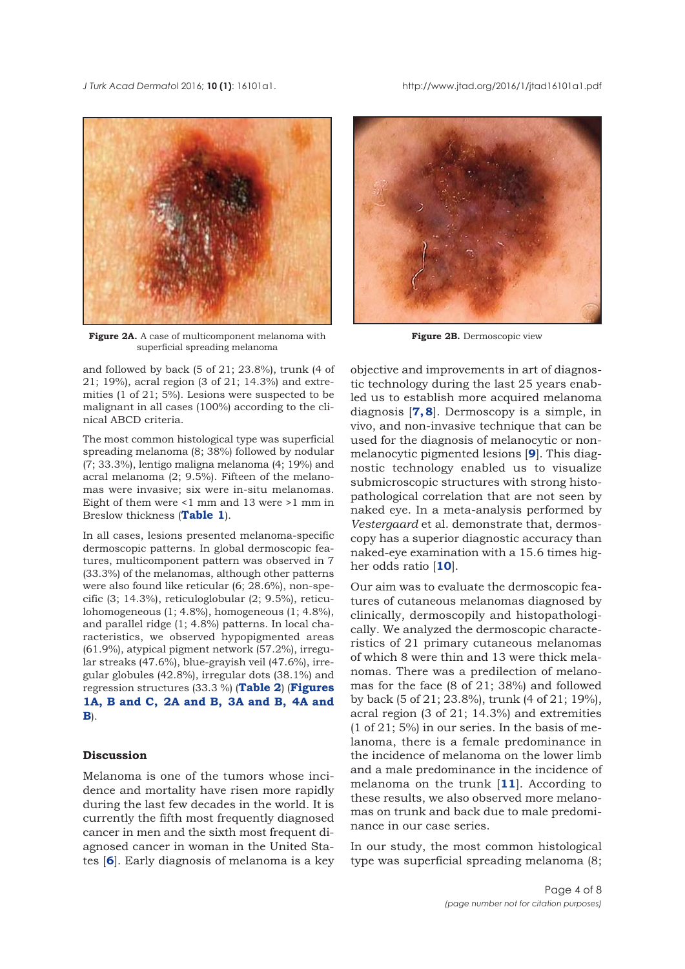<span id="page-3-0"></span>*J Turk Acad Dermato*l 2016; **10 (1)**: 16101a1. http://www.jtad.org/2016/1/jtad16101a1.pdf



**Figure 2A.** A case of multicomponent melanoma with superficial spreading melanoma

and followed by back (5 of 21; 23.8%), trunk (4 of 21; 19%), acral region (3 of 21; 14.3%) and extremities (1 of 21; 5%). Lesions were suspected to be malignant in all cases (100%) according to the clinical ABCD criteria.

The most common histological type was superficial spreading melanoma (8; 38%) followed by nodular (7; 33.3%), lentigo maligna melanoma (4; 19%) and acral melanoma (2; 9.5%). Fifteen of the melanomas were invasive; six were in-situ melanomas. Eight of them were <1 mm and 13 were >1 mm in Breslow thickness (**[Table 1](#page-1-0)**).

In all cases, lesions presented melanoma-specific dermoscopic patterns. In global dermoscopic features, multicomponent pattern was observed in 7 (33.3%) of the melanomas, although other patterns were also found like reticular (6; 28.6%), non-specific (3; 14.3%), reticuloglobular (2; 9.5%), reticulohomogeneous (1; 4.8%), homogeneous (1; 4.8%), and parallel ridge (1; 4.8%) patterns. In local characteristics, we observed hypopigmented areas (61.9%), atypical pigment network (57.2%), irregular streaks (47.6%), blue-grayish veil (47.6%), irregular globules (42.8%), irregular dots (38.1%) and regression structures (33.3 %) (**[Table 2](#page-1-0)**) (**Figures [1A,](#page-2-0) [B](#page-2-0) and [C,](#page-2-0) 2A and B, [3A](#page-4-0) and [B,](#page-4-0) [4A](#page-5-0) and [B](#page-5-0)**).

# **Discussion**

Melanoma is one of the tumors whose incidence and mortality have risen more rapidly during the last few decades in the world. It is currently the fifth most frequently diagnosed cancer in men and the sixth most frequent diagnosed cancer in woman in the United States [**[6](#page-6-0)**]. Early diagnosis of melanoma is a key



**Figure 2B.** Dermoscopic view

objective and improvements in art of diagnostic technology during the last 25 years enabled us to establish more acquired melanoma diagnosis [**[7, 8](#page-7-0)**]. Dermoscopy is a simple, in vivo, and non-invasive technique that can be used for the diagnosis of melanocytic or nonmelanocytic pigmented lesions [**[9](#page-7-0)**]. This diagnostic technology enabled us to visualize submicroscopic structures with strong histopathological correlation that are not seen by naked eye. In a meta-analysis performed by *Vestergaard* et al. demonstrate that, dermoscopy has a superior diagnostic accuracy than naked-eye examination with a 15.6 times higher odds ratio [**[10](#page-7-0)**].

Our aim was to evaluate the dermoscopic features of cutaneous melanomas diagnosed by clinically, dermoscopily and histopathologically. We analyzed the dermoscopic characteristics of 21 primary cutaneous melanomas of which 8 were thin and 13 were thick melanomas. There was a predilection of melanomas for the face (8 of 21; 38%) and followed by back (5 of 21; 23.8%), trunk (4 of 21; 19%), acral region (3 of 21; 14.3%) and extremities (1 of 21; 5%) in our series. In the basis of melanoma, there is a female predominance in the incidence of melanoma on the lower limb and a male predominance in the incidence of melanoma on the trunk [**[11](#page-7-0)**]. According to these results, we also observed more melanomas on trunk and back due to male predominance in our case series.

In our study, the most common histological type was superficial spreading melanoma (8;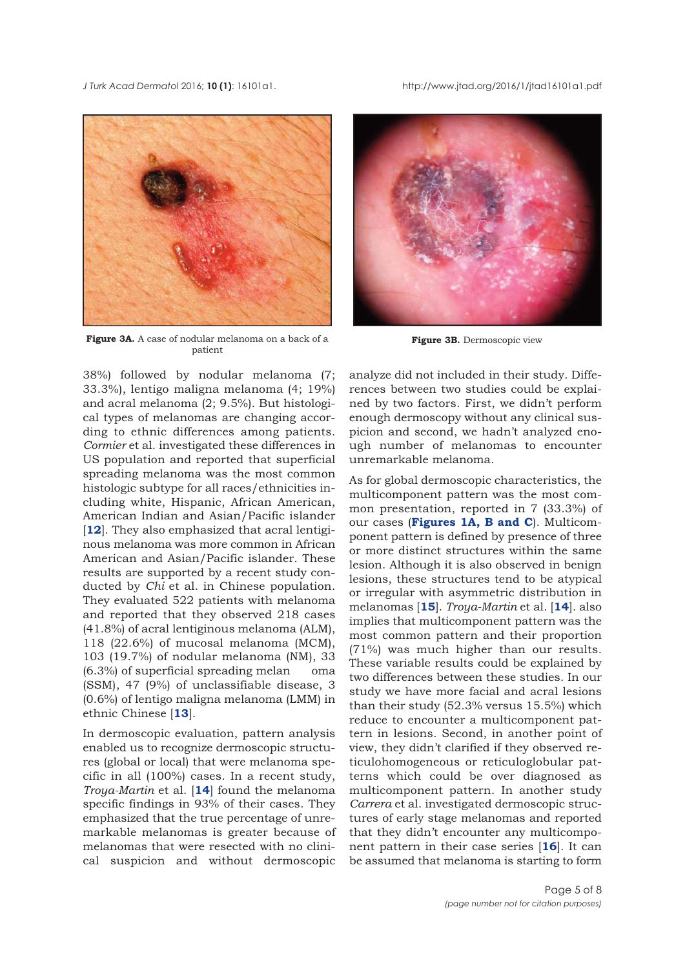<span id="page-4-0"></span>*J Turk Acad Dermato*l 2016; **10 (1)**: 16101a1. http://www.jtad.org/2016/1/jtad16101a1.pdf



**Figure 3A.** A case of nodular melanoma on a back of a patient

38%) followed by nodular melanoma (7; 33.3%), lentigo maligna melanoma (4; 19%) and acral melanoma (2; 9.5%). But histological types of melanomas are changing according to ethnic differences among patients. *Cormier* et al. investigated these differences in US population and reported that superficial spreading melanoma was the most common histologic subtype for all races/ethnicities including white, Hispanic, African American, American Indian and Asian/Pacific islander [[12](#page-7-0)]. They also emphasized that acral lentiginous melanoma was more common in African American and Asian/Pacific islander. These results are supported by a recent study conducted by *Chi* et al. in Chinese population. They evaluated 522 patients with melanoma and reported that they observed 218 cases (41.8%) of acral lentiginous melanoma (ALM), 118 (22.6%) of mucosal melanoma (MCM), 103 (19.7%) of nodular melanoma (NM), 33 (6.3%) of superficial spreading melan oma (SSM), 47 (9%) of unclassifiable disease, 3 (0.6%) of lentigo maligna melanoma (LMM) in ethnic Chinese [**[13](#page-7-0)**].

In dermoscopic evaluation, pattern analysis enabled us to recognize dermoscopic structures (global or local) that were melanoma specific in all (100%) cases. In a recent study, *Troya-Martin* et al. [**[14](#page-7-0)**] found the melanoma specific findings in 93% of their cases. They emphasized that the true percentage of unremarkable melanomas is greater because of melanomas that were resected with no clinical suspicion and without dermoscopic



**Figure 3B.** Dermoscopic view

analyze did not included in their study. Differences between two studies could be explained by two factors. First, we didn't perform enough dermoscopy without any clinical suspicion and second, we hadn't analyzed enough number of melanomas to encounter unremarkable melanoma.

As for global dermoscopic characteristics, the multicomponent pattern was the most common presentation, reported in 7 (33.3%) of our cases (**[Figures 1A,](#page-2-0) [B](#page-2-0) and [C](#page-2-0)**). Multicomponent pattern is defined by presence of three or more distinct structures within the same lesion. Although it is also observed in benign lesions, these structures tend to be atypical or irregular with asymmetric distribution in melanomas [**[15](#page-7-0)**]. *Troya-Martin* et al. [**[14](#page-7-0)**]. also implies that multicomponent pattern was the most common pattern and their proportion (71%) was much higher than our results. These variable results could be explained by two differences between these studies. In our study we have more facial and acral lesions than their study (52.3% versus 15.5%) which reduce to encounter a multicomponent pattern in lesions. Second, in another point of view, they didn't clarified if they observed reticulohomogeneous or reticuloglobular patterns which could be over diagnosed as multicomponent pattern. In another study *Carrera* et al. investigated dermoscopic structures of early stage melanomas and reported that they didn't encounter any multicomponent pattern in their case series [**[16](#page-7-0)**]. It can be assumed that melanoma is starting to form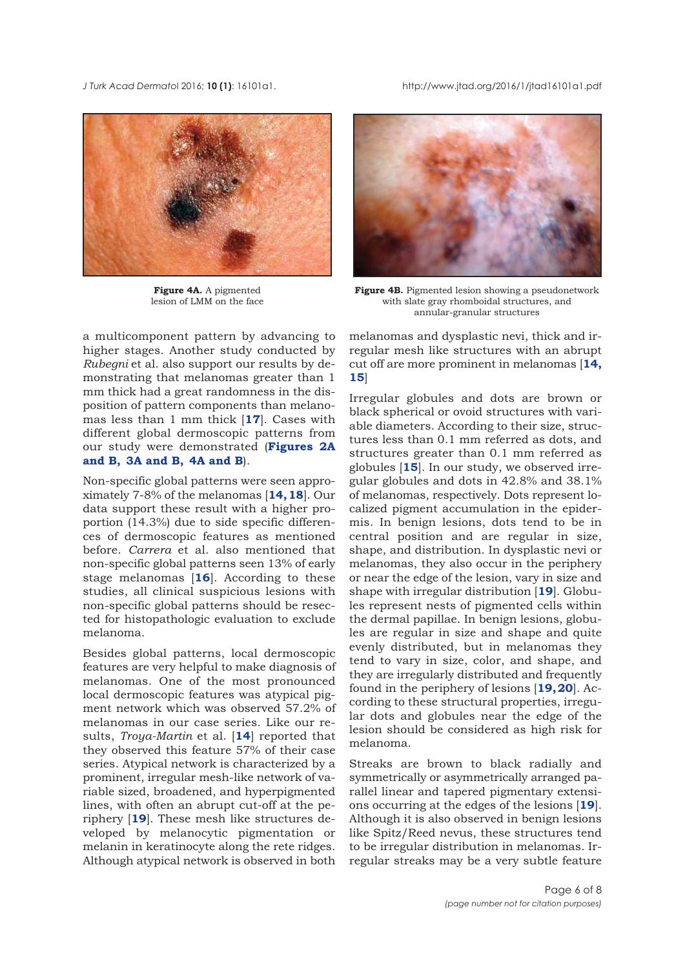<span id="page-5-0"></span>*J Turk Acad Dermato*l 2016; **10 (1)**: 16101a1. http://www.jtad.org/2016/1/jtad16101a1.pdf



**Figure 4A.** A pigmented lesion of LMM on the face

a multicomponent pattern by advancing to higher stages. Another study conducted by *Rubegni* et al. also support our results by demonstrating that melanomas greater than 1 mm thick had a great randomness in the disposition of pattern components than melanomas less than 1 mm thick [**[17](#page-7-0)**]. Cases with different global dermoscopic patterns from our study were demonstrated (**[Figures 2A](#page-3-0) and [B,](#page-3-0) [3A](#page-4-0) and [B,](#page-4-0) 4A and B**).

Non-specific global patterns were seen approximately 7-8% of the melanomas [**[14, 18](#page-7-0)**]. Our data support these result with a higher proportion (14.3%) due to side specific differences of dermoscopic features as mentioned before. *Carrera* et al. also mentioned that non-specific global patterns seen 13% of early stage melanomas [**[16](#page-7-0)**]. According to these studies, all clinical suspicious lesions with non-specific global patterns should be resected for histopathologic evaluation to exclude melanoma.

Besides global patterns, local dermoscopic features are very helpful to make diagnosis of melanomas. One of the most pronounced local dermoscopic features was atypical pigment network which was observed 57.2% of melanomas in our case series. Like our results, *Troya-Martin* et al. [**[14](#page-7-0)**] reported that they observed this feature 57% of their case series. Atypical network is characterized by a prominent, irregular mesh-like network of variable sized, broadened, and hyperpigmented lines, with often an abrupt cut-off at the periphery [**[19](#page-7-0)**]. These mesh like structures developed by melanocytic pigmentation or melanin in keratinocyte along the rete ridges. Although atypical network is observed in both



**Figure 4B.** Pigmented lesion showing a pseudonetwork with slate gray rhomboidal structures, and annular-granular structures

melanomas and dysplastic nevi, thick and irregular mesh like structures with an abrupt cut off are more prominent in melanomas [**[14,](#page-7-0) [15](#page-7-0)**]

Irregular globules and dots are brown or black spherical or ovoid structures with variable diameters. According to their size, structures less than 0.1 mm referred as dots, and structures greater than 0.1 mm referred as globules [**[15](#page-7-0)**]. In our study, we observed irregular globules and dots in 42.8% and 38.1% of melanomas, respectively. Dots represent localized pigment accumulation in the epidermis. In benign lesions, dots tend to be in central position and are regular in size, shape, and distribution. In dysplastic nevi or melanomas, they also occur in the periphery or near the edge of the lesion, vary in size and shape with irregular distribution [**[19](#page-7-0)**]. Globules represent nests of pigmented cells within the dermal papillae. In benign lesions, globules are regular in size and shape and quite evenly distributed, but in melanomas they tend to vary in size, color, and shape, and they are irregularly distributed and frequently found in the periphery of lesions [**[19, 20](#page-7-0)**]. According to these structural properties, irregular dots and globules near the edge of the lesion should be considered as high risk for melanoma.

Streaks are brown to black radially and symmetrically or asymmetrically arranged parallel linear and tapered pigmentary extensions occurring at the edges of the lesions [**[19](#page-7-0)**]. Although it is also observed in benign lesions like Spitz/Reed nevus, these structures tend to be irregular distribution in melanomas. Irregular streaks may be a very subtle feature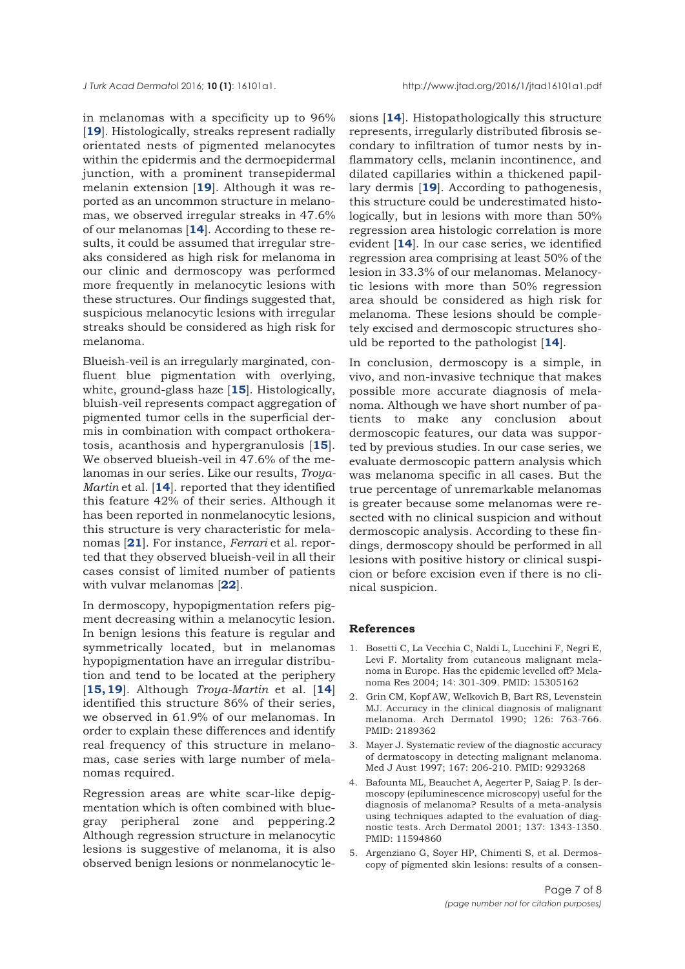<span id="page-6-0"></span>in melanomas with a specificity up to 96% [[19](#page-7-0)]. Histologically, streaks represent radially orientated nests of pigmented melanocytes within the epidermis and the dermoepidermal junction, with a prominent transepidermal melanin extension [**[19](#page-7-0)**]. Although it was reported as an uncommon structure in melanomas, we observed irregular streaks in 47.6% of our melanomas [**[14](#page-7-0)**]. According to these results, it could be assumed that irregular streaks considered as high risk for melanoma in our clinic and dermoscopy was performed more frequently in melanocytic lesions with these structures. Our findings suggested that, suspicious melanocytic lesions with irregular streaks should be considered as high risk for melanoma.

Blueish-veil is an irregularly marginated, confluent blue pigmentation with overlying, white, ground-glass haze [**[15](#page-7-0)**]. Histologically, bluish-veil represents compact aggregation of pigmented tumor cells in the superficial dermis in combination with compact orthokeratosis, acanthosis and hypergranulosis [**[15](#page-7-0)**]. We observed blueish-veil in 47.6% of the melanomas in our series. Like our results, *Troya-Martin* et al. [**[14](#page-7-0)**]. reported that they identified this feature 42% of their series. Although it has been reported in nonmelanocytic lesions, this structure is very characteristic for melanomas [**[21](#page-7-0)**]. For instance, *Ferrari* et al. reported that they observed blueish-veil in all their cases consist of limited number of patients with vulvar melanomas [**[22](#page-7-0)**].

In dermoscopy, hypopigmentation refers pigment decreasing within a melanocytic lesion. In benign lesions this feature is regular and symmetrically located, but in melanomas hypopigmentation have an irregular distribution and tend to be located at the periphery [**[15, 19](#page-7-0)**]. Although *Troya-Martin* et al. [**[14](#page-7-0)**] identified this structure 86% of their series, we observed in 61.9% of our melanomas. In order to explain these differences and identify real frequency of this structure in melanomas, case series with large number of melanomas required.

Regression areas are white scar-like depigmentation which is often combined with bluegray peripheral zone and peppering.2 Although regression structure in melanocytic lesions is suggestive of melanoma, it is also observed benign lesions or nonmelanocytic lesions [**[14](#page-7-0)**]. Histopathologically this structure represents, irregularly distributed fibrosis secondary to infiltration of tumor nests by inflammatory cells, melanin incontinence, and dilated capillaries within a thickened papillary dermis [**[19](#page-7-0)**]. According to pathogenesis, this structure could be underestimated histologically, but in lesions with more than 50% regression area histologic correlation is more evident [**[14](#page-7-0)**]. In our case series, we identified regression area comprising at least 50% of the lesion in 33.3% of our melanomas. Melanocytic lesions with more than 50% regression area should be considered as high risk for melanoma. These lesions should be completely excised and dermoscopic structures should be reported to the pathologist [**[14](#page-7-0)**].

In conclusion, dermoscopy is a simple, in vivo, and non-invasive technique that makes possible more accurate diagnosis of melanoma. Although we have short number of patients to make any conclusion about dermoscopic features, our data was supported by previous studies. In our case series, we evaluate dermoscopic pattern analysis which was melanoma specific in all cases. But the true percentage of unremarkable melanomas is greater because some melanomas were resected with no clinical suspicion and without dermoscopic analysis. According to these findings, dermoscopy should be performed in all lesions with positive history or clinical suspicion or before excision even if there is no clinical suspicion.

#### **References**

- 1. Bosetti C, La Vecchia C, Naldi L, Lucchini F, Negri E, Levi F. Mortality from cutaneous malignant melanoma in Europe. Has the epidemic levelled off? Melanoma Res 2004; 14: 301-309. PMID: 15305162
- 2. Grin CM, Kopf AW, Welkovich B, Bart RS, Levenstein MJ. Accuracy in the clinical diagnosis of malignant melanoma. Arch Dermatol 1990; 126: 763-766. PMID: 2189362
- 3. Mayer J. Systematic review of the diagnostic accuracy of dermatoscopy in detecting malignant melanoma. Med J Aust 1997; 167: 206-210. PMID: 9293268
- 4. Bafounta ML, Beauchet A, Aegerter P, Saiag P. Is dermoscopy (epiluminescence microscopy) useful for the diagnosis of melanoma? Results of a meta-analysis using techniques adapted to the evaluation of diagnostic tests. Arch Dermatol 2001; 137: 1343-1350. PMID: 11594860
- 5. Argenziano G, Soyer HP, Chimenti S, et al. Dermoscopy of pigmented skin lesions: results of a consen-